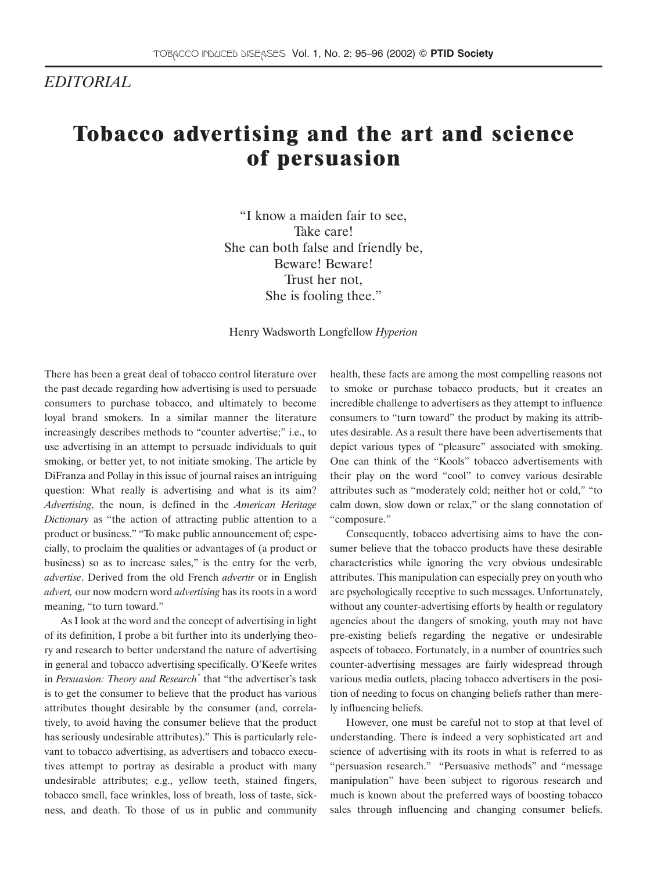## *EDITORIAL*

## **Tobacco advertising and the art and science of persuasion**

"I know a maiden fair to see, Take care! She can both false and friendly be, Beware! Beware! Trust her not, She is fooling thee."

Henry Wadsworth Longfellow *Hyperion*

There has been a great deal of tobacco control literature over the past decade regarding how advertising is used to persuade consumers to purchase tobacco, and ultimately to become loyal brand smokers. In a similar manner the literature increasingly describes methods to "counter advertise;" i.e., to use advertising in an attempt to persuade individuals to quit smoking, or better yet, to not initiate smoking. The article by DiFranza and Pollay in this issue of journal raises an intriguing question: What really is advertising and what is its aim? *Advertising*, the noun, is defined in the *American Heritage Dictionary* as "the action of attracting public attention to a product or business." "To make public announcement of; especially, to proclaim the qualities or advantages of (a product or business) so as to increase sales," is the entry for the verb, *advertise*. Derived from the old French *advertir* or in English *advert,* our now modern word *advertising* has its roots in a word meaning, "to turn toward."

As I look at the word and the concept of advertising in light of its definition, I probe a bit further into its underlying theory and research to better understand the nature of advertising in general and tobacco advertising specifically. O'Keefe writes in *Persuasion: Theory and Research*\* that "the advertiser's task is to get the consumer to believe that the product has various attributes thought desirable by the consumer (and, correlatively, to avoid having the consumer believe that the product has seriously undesirable attributes)." This is particularly relevant to tobacco advertising, as advertisers and tobacco executives attempt to portray as desirable a product with many undesirable attributes; e.g., yellow teeth, stained fingers, tobacco smell, face wrinkles, loss of breath, loss of taste, sickness, and death. To those of us in public and community health, these facts are among the most compelling reasons not to smoke or purchase tobacco products, but it creates an incredible challenge to advertisers as they attempt to influence consumers to "turn toward" the product by making its attributes desirable. As a result there have been advertisements that depict various types of "pleasure" associated with smoking. One can think of the "Kools" tobacco advertisements with their play on the word "cool" to convey various desirable attributes such as "moderately cold; neither hot or cold," "to calm down, slow down or relax," or the slang connotation of "composure."

Consequently, tobacco advertising aims to have the consumer believe that the tobacco products have these desirable characteristics while ignoring the very obvious undesirable attributes. This manipulation can especially prey on youth who are psychologically receptive to such messages. Unfortunately, without any counter-advertising efforts by health or regulatory agencies about the dangers of smoking, youth may not have pre-existing beliefs regarding the negative or undesirable aspects of tobacco. Fortunately, in a number of countries such counter-advertising messages are fairly widespread through various media outlets, placing tobacco advertisers in the position of needing to focus on changing beliefs rather than merely influencing beliefs.

However, one must be careful not to stop at that level of understanding. There is indeed a very sophisticated art and science of advertising with its roots in what is referred to as "persuasion research." "Persuasive methods" and "message manipulation" have been subject to rigorous research and much is known about the preferred ways of boosting tobacco sales through influencing and changing consumer beliefs.